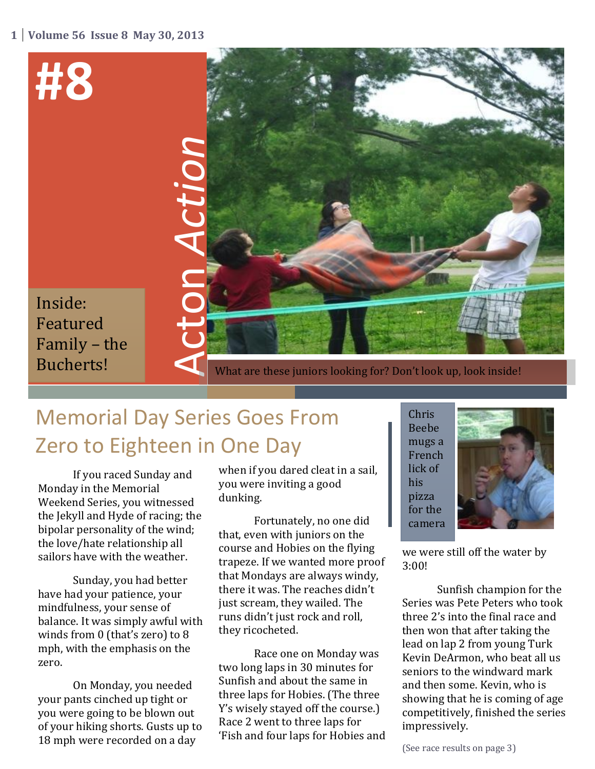

# Memorial Day Series Goes From Zero to Eighteen in One Day

If you raced Sunday and Monday in the Memorial Weekend Series, you witnessed the Jekyll and Hyde of racing; the bipolar personality of the wind; the love/hate relationship all sailors have with the weather.

Sunday, you had better have had your patience, your mindfulness, your sense of balance. It was simply awful with winds from 0 (that's zero) to 8 mph, with the emphasis on the zero.

On Monday, you needed your pants cinched up tight or you were going to be blown out of your hiking shorts. Gusts up to 18 mph were recorded on a day

when if you dared cleat in a sail, you were inviting a good dunking.

Fortunately, no one did that, even with juniors on the course and Hobies on the flying trapeze. If we wanted more proof that Mondays are always windy, there it was. The reaches didn't just scream, they wailed. The runs didn't just rock and roll, they ricocheted.

Race one on Monday was two long laps in 30 minutes for Sunfish and about the same in three laps for Hobies. (The three Y's wisely stayed off the course.) Race 2 went to three laps for 'Fish and four laps for Hobies and Chris Beebe mugs a French lick of his pizza for the camera .



we were still off the water by 3:00!

Sunfish champion for the Series was Pete Peters who took three 2's into the final race and then won that after taking the lead on lap 2 from young Turk Kevin DeArmon, who beat all us seniors to the windward mark and then some. Kevin, who is showing that he is coming of age competitively, finished the series impressively.

(See race results on page 3)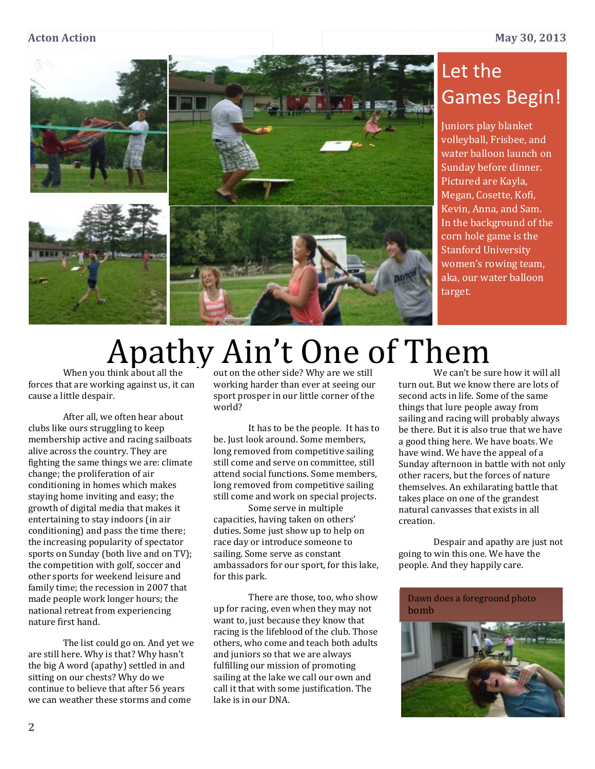

# Let the Games Begin!

Juniors play blanket volleyball, Frisbee, and water balloon launch on Sunday before dinner. Pictured are Kayla, Megan, Cosette, Kofi, Kevin, Anna, and Sam. In the background of the corn hole game is the Stanford University women's rowing team, aka, our water balloon target.

# Apathy Ain't One of Them

When you think about all the forces that are working against us, it can cause a little despair.

After all, we often hear about clubs like ours struggling to keep membership active and racing sailboats alive across the country. They are fighting the same things we are: climate change; the proliferation of air conditioning in homes which makes staying home inviting and easy; the growth of digital media that makes it entertaining to stay indoors (in air conditioning) and pass the time there; the increasing popularity of spectator sports on Sunday (both live and on TV); the competition with golf, soccer and other sports for weekend leisure and family time; the recession in 2007 that made people work longer hours; the national retreat from experiencing nature first hand.

The list could go on. And yet we are still here. Why is that? Why hasn't the big A word (apathy) settled in and sitting on our chests? Why do we continue to believe that after 56 years we can weather these storms and come

out on the other side? Why are we still working harder than ever at seeing our sport prosper in our little corner of the world?

It has to be the people. It has to be. Just look around. Some members, long removed from competitive sailing still come and serve on committee, still attend social functions. Some members, long removed from competitive sailing still come and work on special projects.

Some serve in multiple capacities, having taken on others' duties. Some just show up to help on race day or introduce someone to sailing. Some serve as constant ambassadors for our sport, for this lake, for this park.

There are those, too, who show up for racing, even when they may not want to, just because they know that racing is the lifeblood of the club. Those others, who come and teach both adults and juniors so that we are always fulfilling our mission of promoting sailing at the lake we call our own and call it that with some justification. The lake is in our DNA.

We can't be sure how it will all turn out. But we know there are lots of second acts in life. Some of the same things that lure people away from sailing and racing will probably always be there. But it is also true that we have a good thing here. We have boats. We have wind. We have the appeal of a Sunday afternoon in battle with not only other racers, but the forces of nature themselves. An exhilarating battle that takes place on one of the grandest natural canvasses that exists in all creation.

Despair and apathy are just not going to win this one. We have the people. And they happily care.

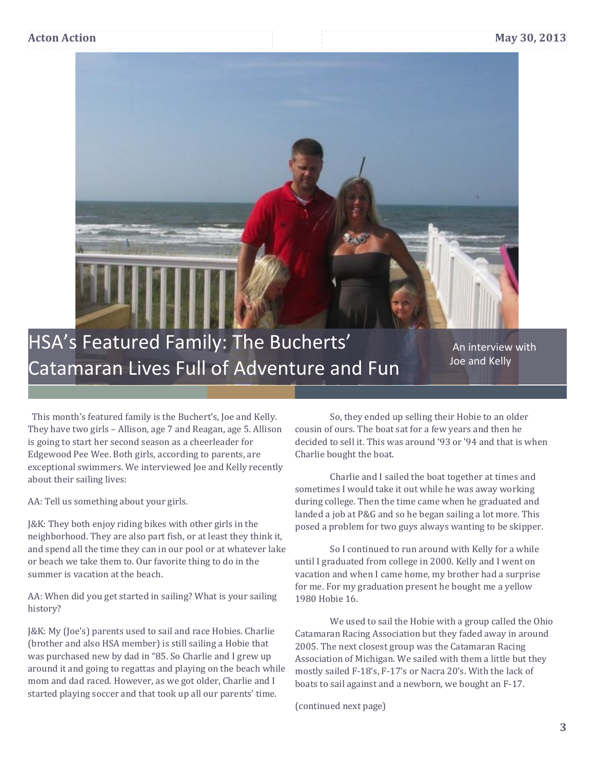

 This month's featured family is the Buchert's, Joe and Kelly. They have two girls – Allison, age 7 and Reagan, age 5. Allison is going to start her second season as a cheerleader for Edgewood Pee Wee. Both girls, according to parents, are exceptional swimmers. We interviewed Joe and Kelly recently about their sailing lives:

AA: Tell us something about your girls.

J&K: They both enjoy riding bikes with other girls in the neighborhood. They are also part fish, or at least they think it, and spend all the time they can in our pool or at whatever lake or beach we take them to. Our favorite thing to do in the summer is vacation at the beach.

AA: When did you get started in sailing? What is your sailing history?

J&K: My (Joe's) parents used to sail and race Hobies. Charlie (brother and also HSA member) is still sailing a Hobie that was purchased new by dad in "85. So Charlie and I grew up around it and going to regattas and playing on the beach while mom and dad raced. However, as we got older, Charlie and I started playing soccer and that took up all our parents' time.

So, they ended up selling their Hobie to an older cousin of ours. The boat sat for a few years and then he decided to sell it. This was around '93 or '94 and that is when Charlie bought the boat.

Charlie and I sailed the boat together at times and sometimes I would take it out while he was away working during college. Then the time came when he graduated and landed a job at P&G and so he began sailing a lot more. This posed a problem for two guys always wanting to be skipper.

So I continued to run around with Kelly for a while until I graduated from college in 2000. Kelly and I went on vacation and when I came home, my brother had a surprise for me. For my graduation present he bought me a yellow 1980 Hobie 16.

We used to sail the Hobie with a group called the Ohio Catamaran Racing Association but they faded away in around 2005. The next closest group was the Catamaran Racing Association of Michigan. We sailed with them a little but they mostly sailed F-18's, F-17's or Nacra 20's. With the lack of boats to sail against and a newborn, we bought an F-17.

(continued next page)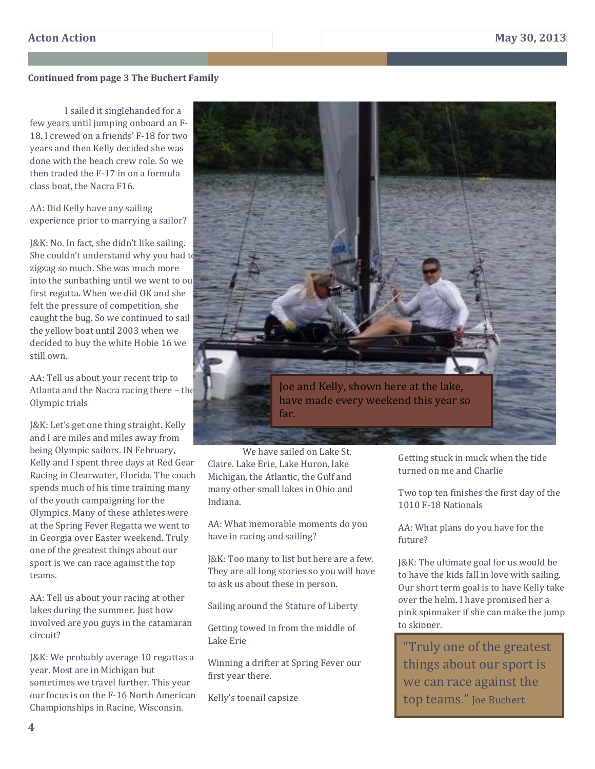## **Continued from page 3 The Buchert Family**

I sailed it singlehanded for a few years until jumping onboard an F-18. I crewed on a friends' F-18 for two years and then Kelly decided she was done with the beach crew role. So we then traded the F-17 in on a formula class boat, the Nacra F16.

AA: Did Kelly have any sailing experience prior to marrying a sailor?

J&K: No. In fact, she didn't like sailing. She couldn't understand why you had to zigzag so much. She was much more into the sunbathing until we went to our first regatta. When we did OK and she felt the pressure of competition, she caught the bug. So we continued to sail the yellow boat until 2003 when we decided to buy the white Hobie 16 we still own.

AA: Tell us about your recent trip to Atlanta and the Nacra racing there – the Olympic trials

J&K: Let's get one thing straight. Kelly and I are miles and miles away from being Olympic sailors. IN February, Kelly and I spent three days at Red Gear Racing in Clearwater, Florida. The coach spends much of his time training many of the youth campaigning for the Olympics. Many of these athletes were at the Spring Fever Regatta we went to in Georgia over Easter weekend. Truly one of the greatest things about our sport is we can race against the top teams.

AA: Tell us about your racing at other lakes during the summer. Just how involved are you guys in the catamaran circuit?

J&K: We probably average 10 regattas a year. Most are in Michigan but sometimes we travel further. This year our focus is on the F-16 North American Championships in Racine, Wisconsin.



We have sailed on Lake St. Claire. Lake Erie, Lake Huron, lake Michigan, the Atlantic, the Gulf and many other small lakes in Ohio and Indiana.

AA: What memorable moments do you have in racing and sailing?

J&K: Too many to list but here are a few. They are all long stories so you will have to ask us about these in person.

Sailing around the Stature of Liberty

Getting towed in from the middle of Lake Erie

Winning a drifter at Spring Fever our first year there.

Kelly's toenail capsize

Getting stuck in muck when the tide turned on me and Charlie

Two top ten finishes the first day of the 1010 F-18 Nationals

AA: What plans do you have for the future?

J&K: The ultimate goal for us would be to have the kids fall in love with sailing. Our short term goal is to have Kelly take over the helm. I have promised her a pink spinnaker if she can make the jump to skipper.

"Truly one of the greatest things about our sport is we can race against the top teams." Joe Buchert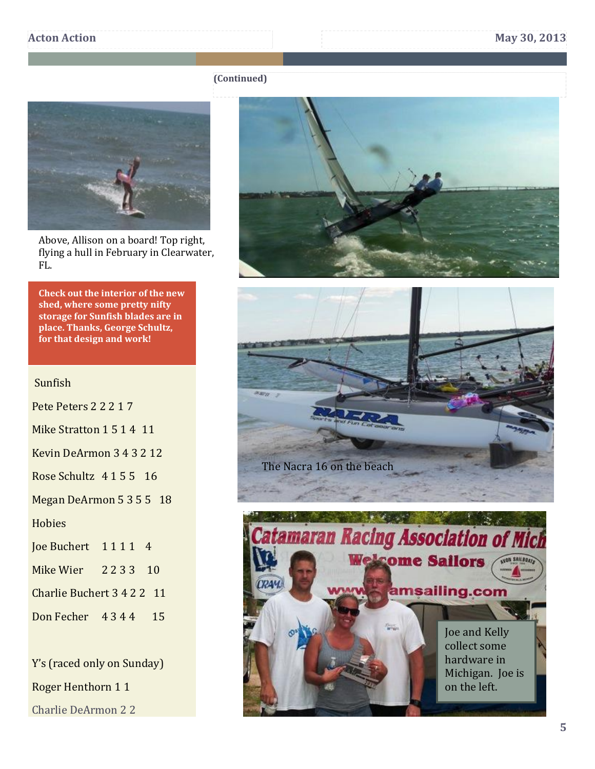### **(Continued)**



Above, Allison on a board! Top right, flying a hull in February in Clearwater, FL.

**Check out the interior of the new shed, where some pretty nifty storage for Sunfish blades are in place. Thanks, George Schultz, for that design and work!** 

## Sunfish

- Pete Peters 2 2 2 1 7
- Mike Stratton 1 5 1 4 11
- Kevin DeArmon 3 4 3 2 12
- Rose Schultz 4 1 5 5 16
- Megan DeArmon 5 3 5 5 18

**Hobies** 

- Joe Buchert 1 1 1 1 4
- Mike Wier 2 2 3 3 10

Charlie Buchert 3 4 2 2 11

Don Fecher 4 3 4 4 15

Y's (raced only on Sunday) Roger Henthorn 1 1

Charlie DeArmon 2 2